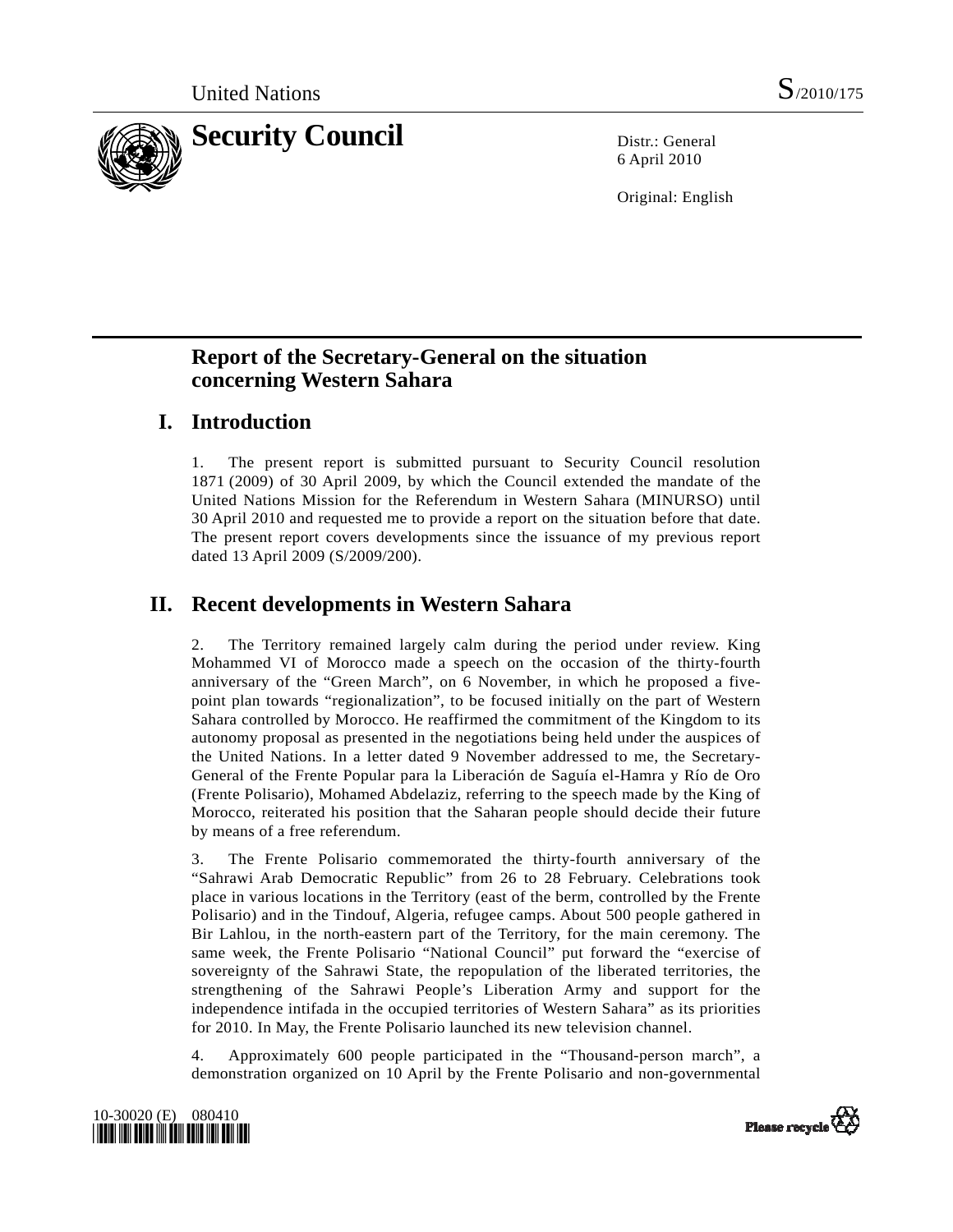

6 April 2010

Original: English

# **Report of the Secretary-General on the situation concerning Western Sahara**

## **I. Introduction**

1. The present report is submitted pursuant to Security Council resolution 1871 (2009) of 30 April 2009, by which the Council extended the mandate of the United Nations Mission for the Referendum in Western Sahara (MINURSO) until 30 April 2010 and requested me to provide a report on the situation before that date. The present report covers developments since the issuance of my previous report dated 13 April 2009 (S/2009/200).

# **II. Recent developments in Western Sahara**

2. The Territory remained largely calm during the period under review. King Mohammed VI of Morocco made a speech on the occasion of the thirty-fourth anniversary of the "Green March", on 6 November, in which he proposed a fivepoint plan towards "regionalization", to be focused initially on the part of Western Sahara controlled by Morocco. He reaffirmed the commitment of the Kingdom to its autonomy proposal as presented in the negotiations being held under the auspices of the United Nations. In a letter dated 9 November addressed to me, the Secretary-General of the Frente Popular para la Liberación de Saguía el-Hamra y Río de Oro (Frente Polisario), Mohamed Abdelaziz, referring to the speech made by the King of Morocco, reiterated his position that the Saharan people should decide their future by means of a free referendum.

3. The Frente Polisario commemorated the thirty-fourth anniversary of the "Sahrawi Arab Democratic Republic" from 26 to 28 February. Celebrations took place in various locations in the Territory (east of the berm, controlled by the Frente Polisario) and in the Tindouf, Algeria, refugee camps. About 500 people gathered in Bir Lahlou, in the north-eastern part of the Territory, for the main ceremony. The same week, the Frente Polisario "National Council" put forward the "exercise of sovereignty of the Sahrawi State, the repopulation of the liberated territories, the strengthening of the Sahrawi People's Liberation Army and support for the independence intifada in the occupied territories of Western Sahara" as its priorities for 2010. In May, the Frente Polisario launched its new television channel.

4. Approximately 600 people participated in the "Thousand-person march", a demonstration organized on 10 April by the Frente Polisario and non-governmental



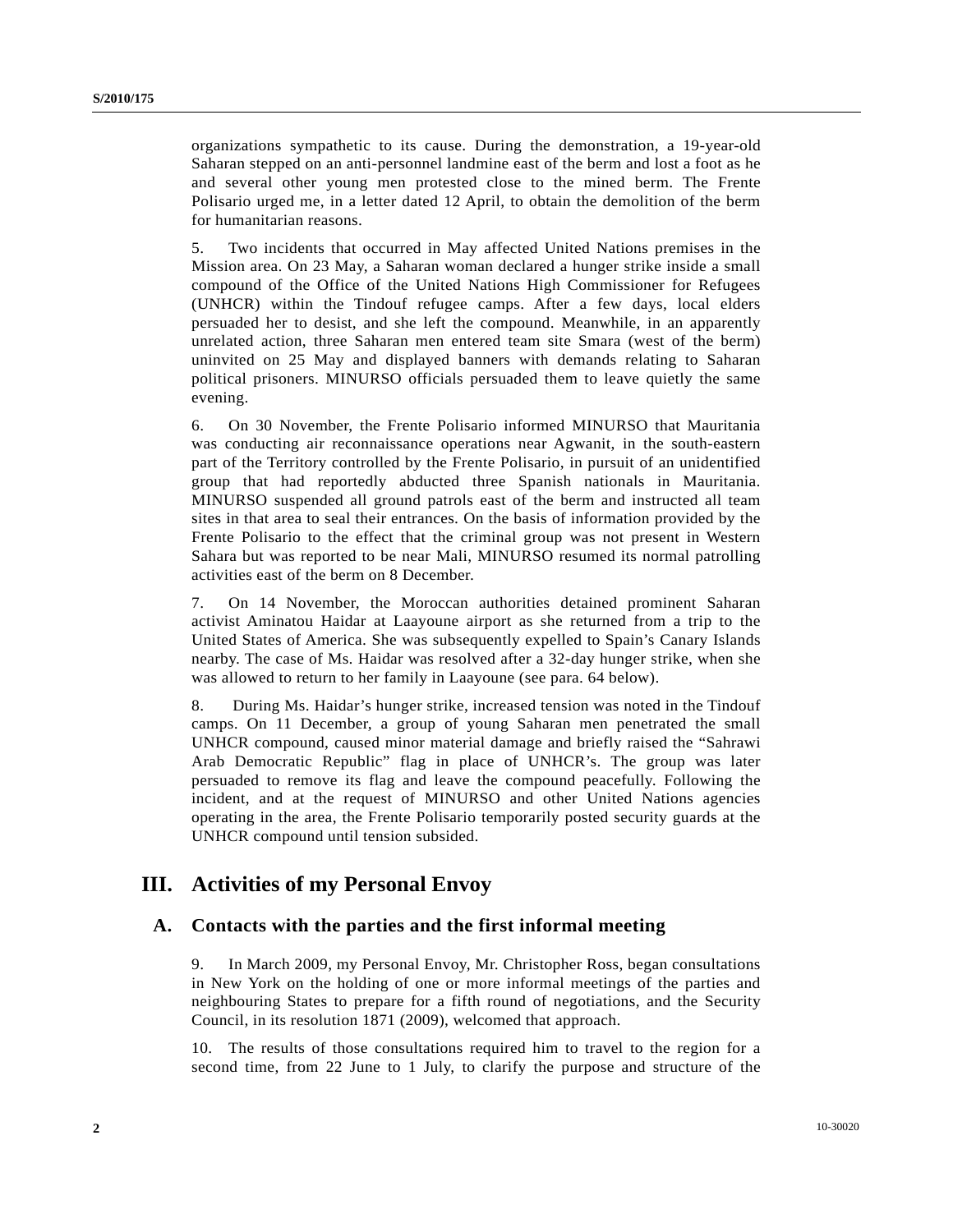organizations sympathetic to its cause. During the demonstration, a 19-year-old Saharan stepped on an anti-personnel landmine east of the berm and lost a foot as he and several other young men protested close to the mined berm. The Frente Polisario urged me, in a letter dated 12 April, to obtain the demolition of the berm for humanitarian reasons.

5. Two incidents that occurred in May affected United Nations premises in the Mission area. On 23 May, a Saharan woman declared a hunger strike inside a small compound of the Office of the United Nations High Commissioner for Refugees (UNHCR) within the Tindouf refugee camps. After a few days, local elders persuaded her to desist, and she left the compound. Meanwhile, in an apparently unrelated action, three Saharan men entered team site Smara (west of the berm) uninvited on 25 May and displayed banners with demands relating to Saharan political prisoners. MINURSO officials persuaded them to leave quietly the same evening.

6. On 30 November, the Frente Polisario informed MINURSO that Mauritania was conducting air reconnaissance operations near Agwanit, in the south-eastern part of the Territory controlled by the Frente Polisario, in pursuit of an unidentified group that had reportedly abducted three Spanish nationals in Mauritania. MINURSO suspended all ground patrols east of the berm and instructed all team sites in that area to seal their entrances. On the basis of information provided by the Frente Polisario to the effect that the criminal group was not present in Western Sahara but was reported to be near Mali, MINURSO resumed its normal patrolling activities east of the berm on 8 December.

7. On 14 November, the Moroccan authorities detained prominent Saharan activist Aminatou Haidar at Laayoune airport as she returned from a trip to the United States of America. She was subsequently expelled to Spain's Canary Islands nearby. The case of Ms. Haidar was resolved after a 32-day hunger strike, when she was allowed to return to her family in Laayoune (see para. 64 below).

8. During Ms. Haidar's hunger strike, increased tension was noted in the Tindouf camps. On 11 December, a group of young Saharan men penetrated the small UNHCR compound, caused minor material damage and briefly raised the "Sahrawi Arab Democratic Republic" flag in place of UNHCR's. The group was later persuaded to remove its flag and leave the compound peacefully. Following the incident, and at the request of MINURSO and other United Nations agencies operating in the area, the Frente Polisario temporarily posted security guards at the UNHCR compound until tension subsided.

## **III. Activities of my Personal Envoy**

#### **A. Contacts with the parties and the first informal meeting**

9. In March 2009, my Personal Envoy, Mr. Christopher Ross, began consultations in New York on the holding of one or more informal meetings of the parties and neighbouring States to prepare for a fifth round of negotiations, and the Security Council, in its resolution 1871 (2009), welcomed that approach.

10. The results of those consultations required him to travel to the region for a second time, from 22 June to 1 July, to clarify the purpose and structure of the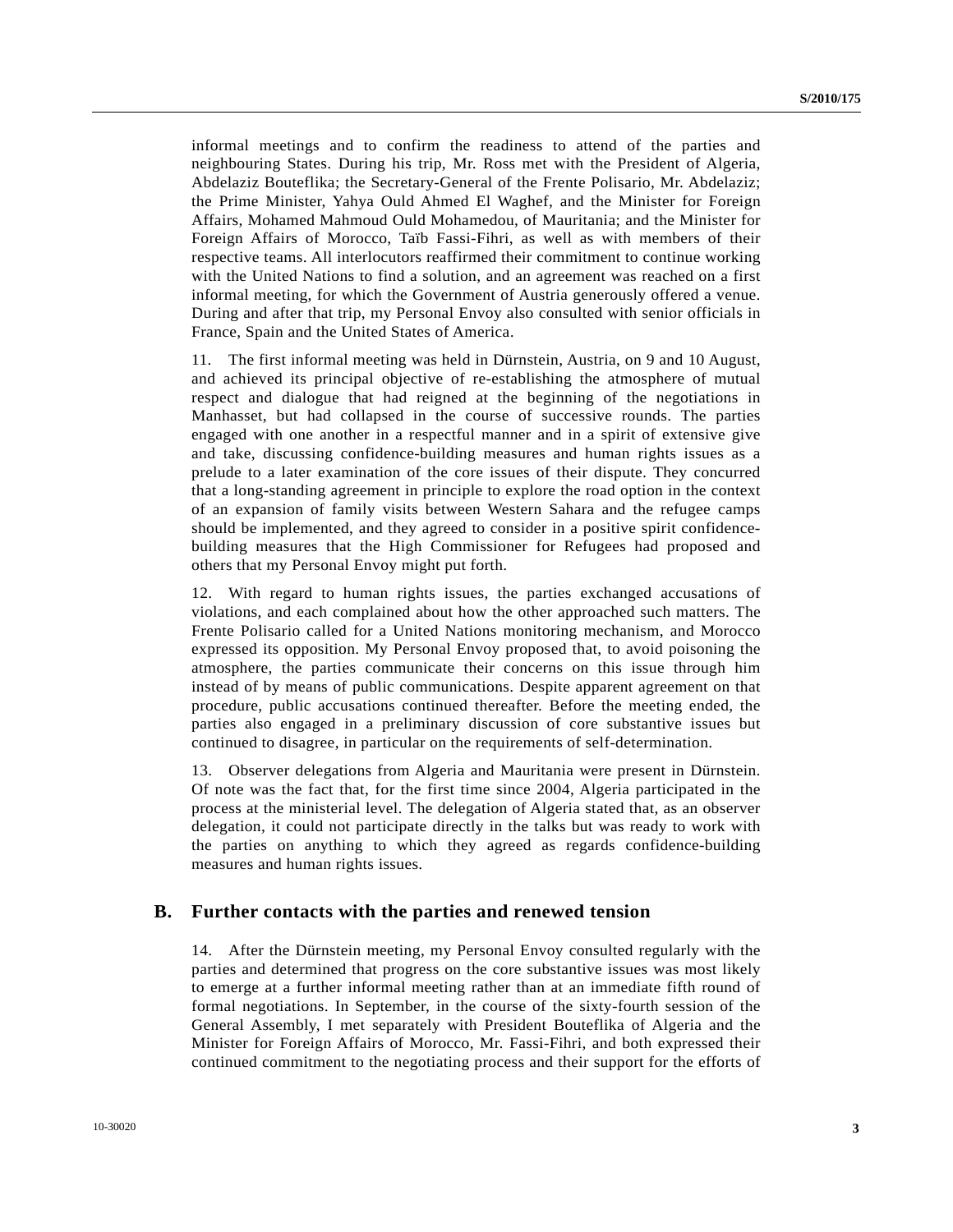informal meetings and to confirm the readiness to attend of the parties and neighbouring States. During his trip, Mr. Ross met with the President of Algeria, Abdelaziz Bouteflika; the Secretary-General of the Frente Polisario, Mr. Abdelaziz; the Prime Minister, Yahya Ould Ahmed El Waghef, and the Minister for Foreign Affairs, Mohamed Mahmoud Ould Mohamedou, of Mauritania; and the Minister for Foreign Affairs of Morocco, Taïb Fassi-Fihri, as well as with members of their respective teams. All interlocutors reaffirmed their commitment to continue working with the United Nations to find a solution, and an agreement was reached on a first informal meeting, for which the Government of Austria generously offered a venue. During and after that trip, my Personal Envoy also consulted with senior officials in France, Spain and the United States of America.

11. The first informal meeting was held in Dürnstein, Austria, on 9 and 10 August, and achieved its principal objective of re-establishing the atmosphere of mutual respect and dialogue that had reigned at the beginning of the negotiations in Manhasset, but had collapsed in the course of successive rounds. The parties engaged with one another in a respectful manner and in a spirit of extensive give and take, discussing confidence-building measures and human rights issues as a prelude to a later examination of the core issues of their dispute. They concurred that a long-standing agreement in principle to explore the road option in the context of an expansion of family visits between Western Sahara and the refugee camps should be implemented, and they agreed to consider in a positive spirit confidencebuilding measures that the High Commissioner for Refugees had proposed and others that my Personal Envoy might put forth.

12. With regard to human rights issues, the parties exchanged accusations of violations, and each complained about how the other approached such matters. The Frente Polisario called for a United Nations monitoring mechanism, and Morocco expressed its opposition. My Personal Envoy proposed that, to avoid poisoning the atmosphere, the parties communicate their concerns on this issue through him instead of by means of public communications. Despite apparent agreement on that procedure, public accusations continued thereafter. Before the meeting ended, the parties also engaged in a preliminary discussion of core substantive issues but continued to disagree, in particular on the requirements of self-determination.

13. Observer delegations from Algeria and Mauritania were present in Dürnstein. Of note was the fact that, for the first time since 2004, Algeria participated in the process at the ministerial level. The delegation of Algeria stated that, as an observer delegation, it could not participate directly in the talks but was ready to work with the parties on anything to which they agreed as regards confidence-building measures and human rights issues.

#### **B. Further contacts with the parties and renewed tension**

14. After the Dürnstein meeting, my Personal Envoy consulted regularly with the parties and determined that progress on the core substantive issues was most likely to emerge at a further informal meeting rather than at an immediate fifth round of formal negotiations. In September, in the course of the sixty-fourth session of the General Assembly, I met separately with President Bouteflika of Algeria and the Minister for Foreign Affairs of Morocco, Mr. Fassi-Fihri, and both expressed their continued commitment to the negotiating process and their support for the efforts of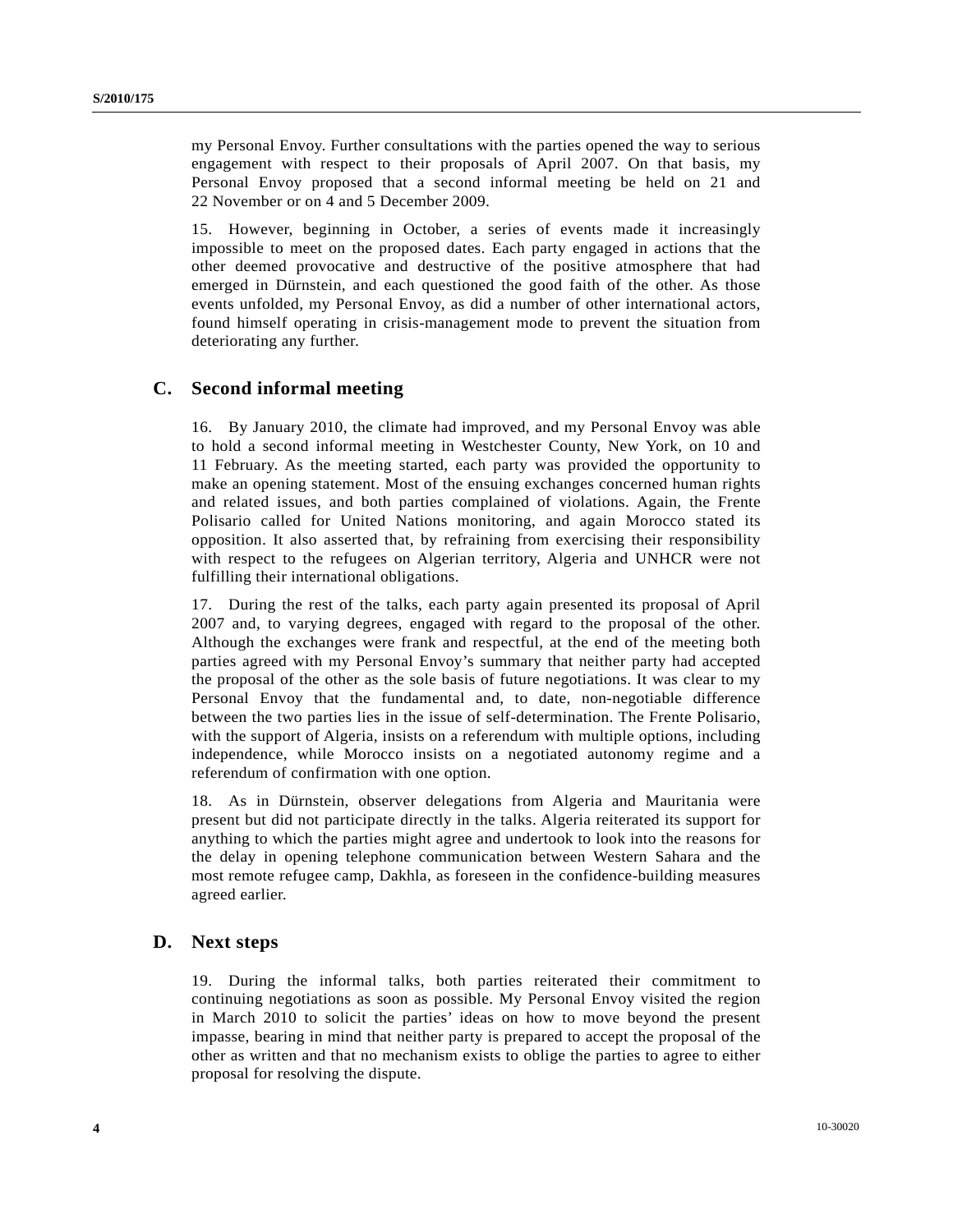my Personal Envoy. Further consultations with the parties opened the way to serious engagement with respect to their proposals of April 2007. On that basis, my Personal Envoy proposed that a second informal meeting be held on 21 and 22 November or on 4 and 5 December 2009.

15. However, beginning in October, a series of events made it increasingly impossible to meet on the proposed dates. Each party engaged in actions that the other deemed provocative and destructive of the positive atmosphere that had emerged in Dürnstein, and each questioned the good faith of the other. As those events unfolded, my Personal Envoy, as did a number of other international actors, found himself operating in crisis-management mode to prevent the situation from deteriorating any further.

## **C. Second informal meeting**

16. By January 2010, the climate had improved, and my Personal Envoy was able to hold a second informal meeting in Westchester County, New York, on 10 and 11 February. As the meeting started, each party was provided the opportunity to make an opening statement. Most of the ensuing exchanges concerned human rights and related issues, and both parties complained of violations. Again, the Frente Polisario called for United Nations monitoring, and again Morocco stated its opposition. It also asserted that, by refraining from exercising their responsibility with respect to the refugees on Algerian territory, Algeria and UNHCR were not fulfilling their international obligations.

17. During the rest of the talks, each party again presented its proposal of April 2007 and, to varying degrees, engaged with regard to the proposal of the other. Although the exchanges were frank and respectful, at the end of the meeting both parties agreed with my Personal Envoy's summary that neither party had accepted the proposal of the other as the sole basis of future negotiations. It was clear to my Personal Envoy that the fundamental and, to date, non-negotiable difference between the two parties lies in the issue of self-determination. The Frente Polisario, with the support of Algeria, insists on a referendum with multiple options, including independence, while Morocco insists on a negotiated autonomy regime and a referendum of confirmation with one option.

18. As in Dürnstein, observer delegations from Algeria and Mauritania were present but did not participate directly in the talks. Algeria reiterated its support for anything to which the parties might agree and undertook to look into the reasons for the delay in opening telephone communication between Western Sahara and the most remote refugee camp, Dakhla, as foreseen in the confidence-building measures agreed earlier.

### **D. Next steps**

19. During the informal talks, both parties reiterated their commitment to continuing negotiations as soon as possible. My Personal Envoy visited the region in March 2010 to solicit the parties' ideas on how to move beyond the present impasse, bearing in mind that neither party is prepared to accept the proposal of the other as written and that no mechanism exists to oblige the parties to agree to either proposal for resolving the dispute.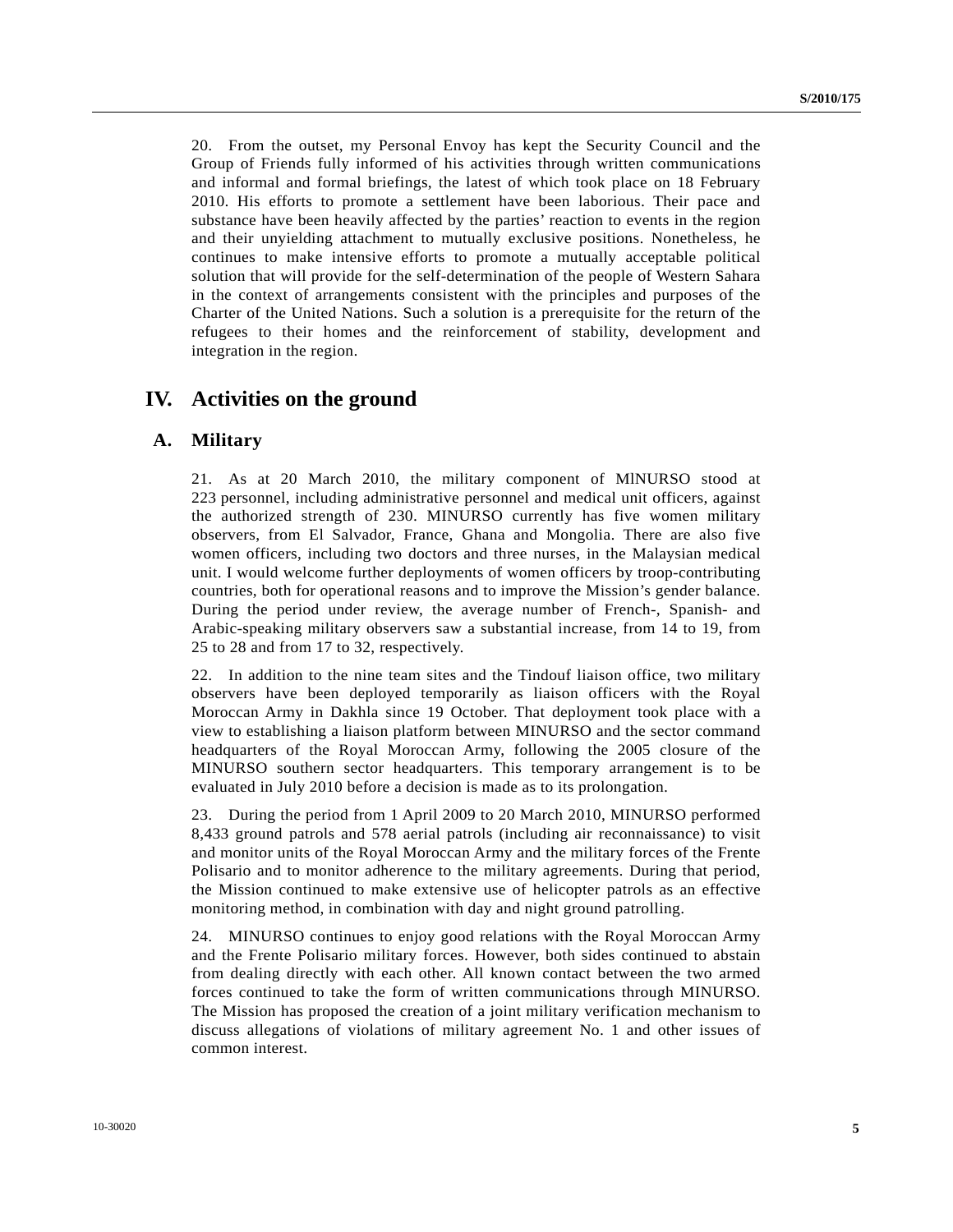20. From the outset, my Personal Envoy has kept the Security Council and the Group of Friends fully informed of his activities through written communications and informal and formal briefings, the latest of which took place on 18 February 2010. His efforts to promote a settlement have been laborious. Their pace and substance have been heavily affected by the parties' reaction to events in the region and their unyielding attachment to mutually exclusive positions. Nonetheless, he continues to make intensive efforts to promote a mutually acceptable political solution that will provide for the self-determination of the people of Western Sahara in the context of arrangements consistent with the principles and purposes of the Charter of the United Nations. Such a solution is a prerequisite for the return of the refugees to their homes and the reinforcement of stability, development and integration in the region.

## **IV. Activities on the ground**

#### **A. Military**

21. As at 20 March 2010, the military component of MlNURSO stood at 223 personnel, including administrative personnel and medical unit officers, against the authorized strength of 230. MINURSO currently has five women military observers, from El Salvador, France, Ghana and Mongolia. There are also five women officers, including two doctors and three nurses, in the Malaysian medical unit. I would welcome further deployments of women officers by troop-contributing countries, both for operational reasons and to improve the Mission's gender balance. During the period under review, the average number of French-, Spanish- and Arabic-speaking military observers saw a substantial increase, from 14 to 19, from 25 to 28 and from 17 to 32, respectively.

22. In addition to the nine team sites and the Tindouf liaison office, two military observers have been deployed temporarily as liaison officers with the Royal Moroccan Army in Dakhla since 19 October. That deployment took place with a view to establishing a liaison platform between MINURSO and the sector command headquarters of the Royal Moroccan Army, following the 2005 closure of the MINURSO southern sector headquarters. This temporary arrangement is to be evaluated in July 2010 before a decision is made as to its prolongation.

23. During the period from 1 April 2009 to 20 March 2010, MINURSO performed 8,433 ground patrols and 578 aerial patrols (including air reconnaissance) to visit and monitor units of the Royal Moroccan Army and the military forces of the Frente Polisario and to monitor adherence to the military agreements. During that period, the Mission continued to make extensive use of helicopter patrols as an effective monitoring method, in combination with day and night ground patrolling.

24. MINURSO continues to enjoy good relations with the Royal Moroccan Army and the Frente Polisario military forces. However, both sides continued to abstain from dealing directly with each other. All known contact between the two armed forces continued to take the form of written communications through MINURSO. The Mission has proposed the creation of a joint military verification mechanism to discuss allegations of violations of military agreement No. 1 and other issues of common interest.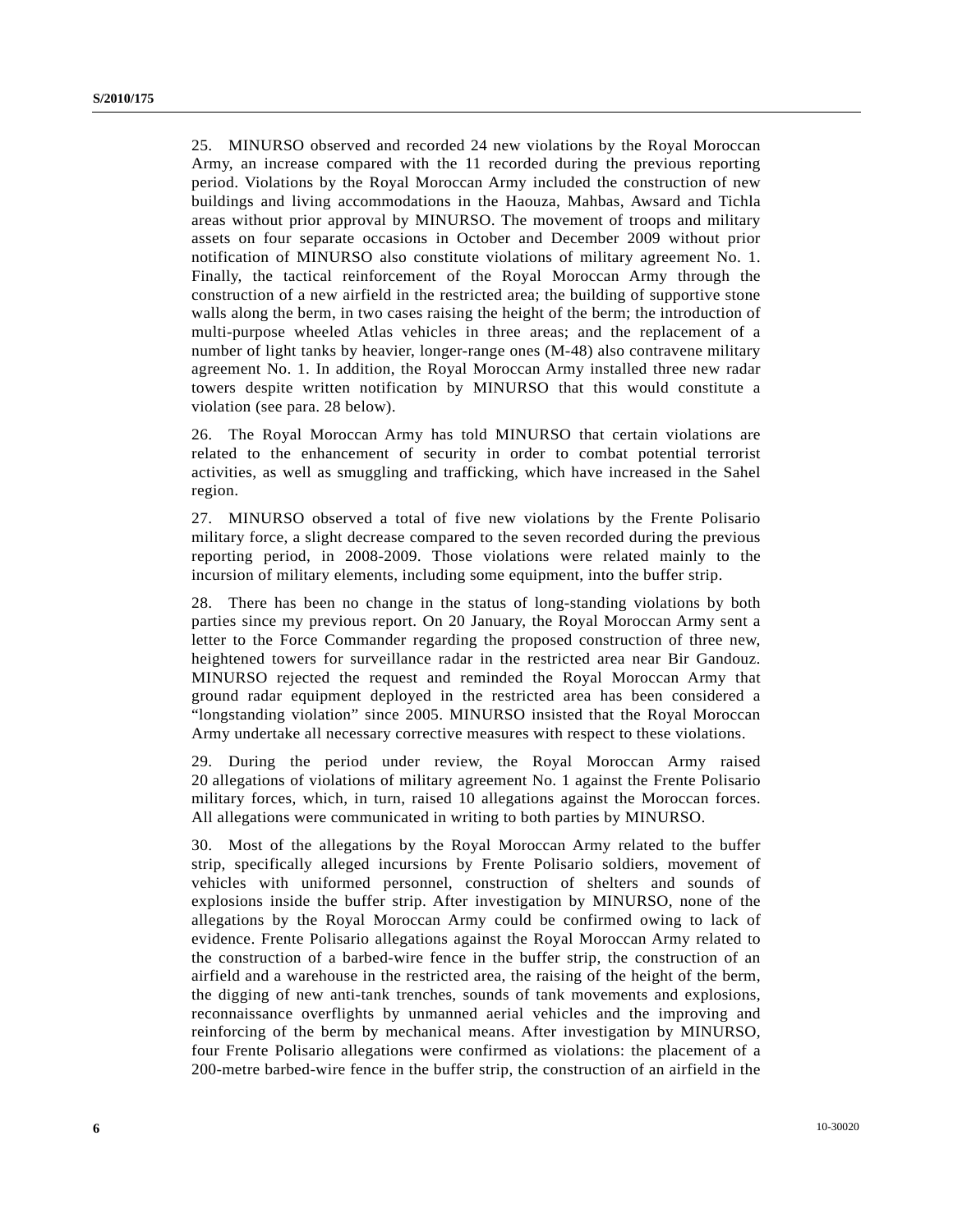25. MINURSO observed and recorded 24 new violations by the Royal Moroccan Army, an increase compared with the 11 recorded during the previous reporting period. Violations by the Royal Moroccan Army included the construction of new buildings and living accommodations in the Haouza, Mahbas, Awsard and Tichla areas without prior approval by MINURSO. The movement of troops and military assets on four separate occasions in October and December 2009 without prior notification of MINURSO also constitute violations of military agreement No. 1. Finally, the tactical reinforcement of the Royal Moroccan Army through the construction of a new airfield in the restricted area; the building of supportive stone walls along the berm, in two cases raising the height of the berm; the introduction of multi-purpose wheeled Atlas vehicles in three areas; and the replacement of a number of light tanks by heavier, longer-range ones (M-48) also contravene military agreement No. 1. In addition, the Royal Moroccan Army installed three new radar towers despite written notification by MINURSO that this would constitute a violation (see para. 28 below).

26. The Royal Moroccan Army has told MINURSO that certain violations are related to the enhancement of security in order to combat potential terrorist activities, as well as smuggling and trafficking, which have increased in the Sahel region.

27. MINURSO observed a total of five new violations by the Frente Polisario military force, a slight decrease compared to the seven recorded during the previous reporting period, in 2008-2009. Those violations were related mainly to the incursion of military elements, including some equipment, into the buffer strip.

28. There has been no change in the status of long-standing violations by both parties since my previous report. On 20 January, the Royal Moroccan Army sent a letter to the Force Commander regarding the proposed construction of three new, heightened towers for surveillance radar in the restricted area near Bir Gandouz. MINURSO rejected the request and reminded the Royal Moroccan Army that ground radar equipment deployed in the restricted area has been considered a "longstanding violation" since 2005. MINURSO insisted that the Royal Moroccan Army undertake all necessary corrective measures with respect to these violations.

29. During the period under review, the Royal Moroccan Army raised 20 allegations of violations of military agreement No. 1 against the Frente Polisario military forces, which, in turn, raised 10 allegations against the Moroccan forces. All allegations were communicated in writing to both parties by MINURSO.

30. Most of the allegations by the Royal Moroccan Army related to the buffer strip, specifically alleged incursions by Frente Polisario soldiers, movement of vehicles with uniformed personnel, construction of shelters and sounds of explosions inside the buffer strip. After investigation by MINURSO, none of the allegations by the Royal Moroccan Army could be confirmed owing to lack of evidence. Frente Polisario allegations against the Royal Moroccan Army related to the construction of a barbed-wire fence in the buffer strip, the construction of an airfield and a warehouse in the restricted area, the raising of the height of the berm, the digging of new anti-tank trenches, sounds of tank movements and explosions, reconnaissance overflights by unmanned aerial vehicles and the improving and reinforcing of the berm by mechanical means. After investigation by MINURSO, four Frente Polisario allegations were confirmed as violations: the placement of a 200-metre barbed-wire fence in the buffer strip, the construction of an airfield in the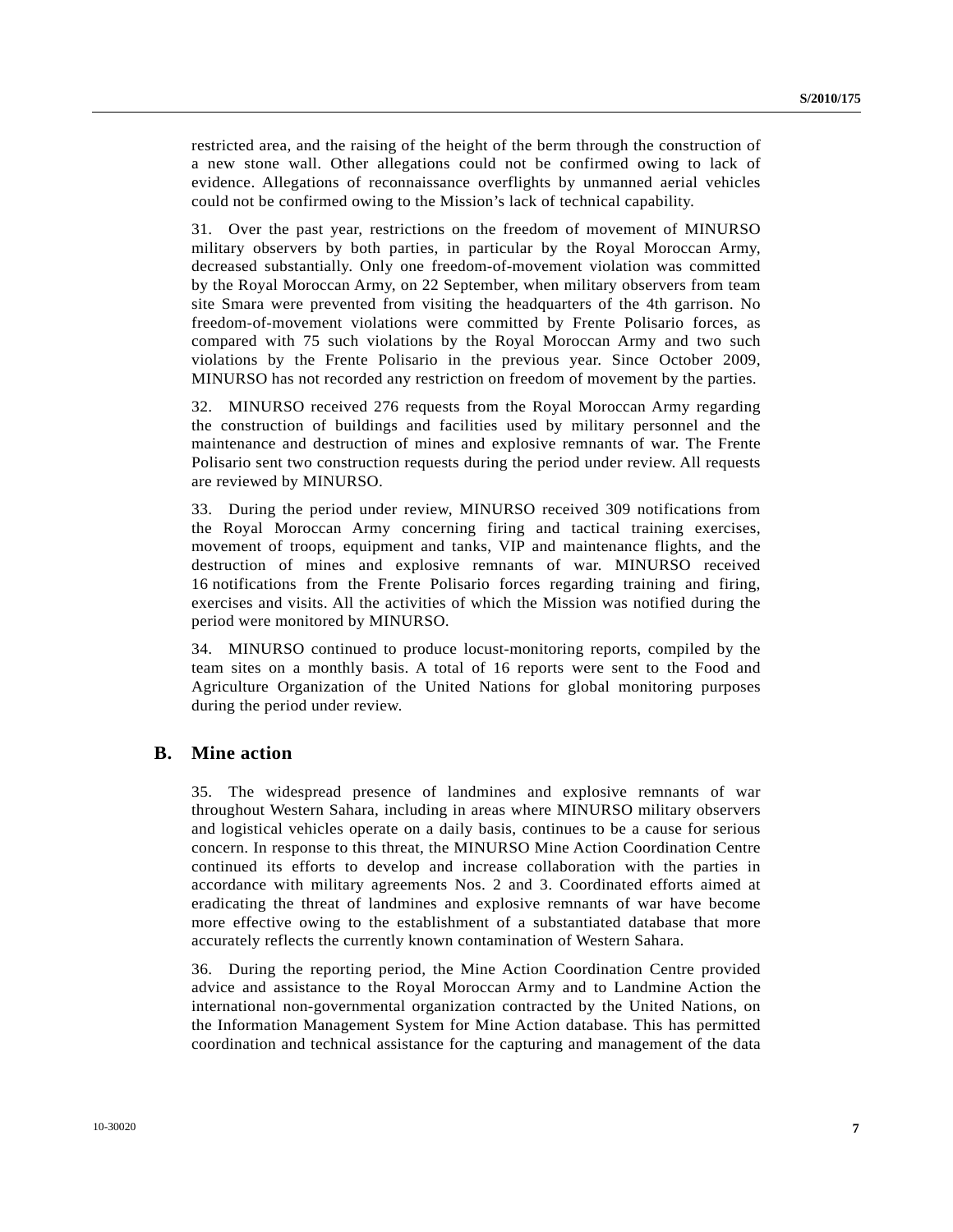restricted area, and the raising of the height of the berm through the construction of a new stone wall. Other allegations could not be confirmed owing to lack of evidence. Allegations of reconnaissance overflights by unmanned aerial vehicles could not be confirmed owing to the Mission's lack of technical capability.

31. Over the past year, restrictions on the freedom of movement of MINURSO military observers by both parties, in particular by the Royal Moroccan Army, decreased substantially. Only one freedom-of-movement violation was committed by the Royal Moroccan Army, on 22 September, when military observers from team site Smara were prevented from visiting the headquarters of the 4th garrison. No freedom-of-movement violations were committed by Frente Polisario forces, as compared with 75 such violations by the Royal Moroccan Army and two such violations by the Frente Polisario in the previous year. Since October 2009, MINURSO has not recorded any restriction on freedom of movement by the parties.

32. MINURSO received 276 requests from the Royal Moroccan Army regarding the construction of buildings and facilities used by military personnel and the maintenance and destruction of mines and explosive remnants of war. The Frente Polisario sent two construction requests during the period under review. All requests are reviewed by MINURSO.

33. During the period under review, MINURSO received 309 notifications from the Royal Moroccan Army concerning firing and tactical training exercises, movement of troops, equipment and tanks, VIP and maintenance flights, and the destruction of mines and explosive remnants of war. MINURSO received 16 notifications from the Frente Polisario forces regarding training and firing, exercises and visits. All the activities of which the Mission was notified during the period were monitored by MINURSO.

34. MINURSO continued to produce locust-monitoring reports, compiled by the team sites on a monthly basis. A total of 16 reports were sent to the Food and Agriculture Organization of the United Nations for global monitoring purposes during the period under review.

### **B. Mine action**

35. The widespread presence of landmines and explosive remnants of war throughout Western Sahara, including in areas where MINURSO military observers and logistical vehicles operate on a daily basis, continues to be a cause for serious concern. In response to this threat, the MINURSO Mine Action Coordination Centre continued its efforts to develop and increase collaboration with the parties in accordance with military agreements Nos. 2 and 3. Coordinated efforts aimed at eradicating the threat of landmines and explosive remnants of war have become more effective owing to the establishment of a substantiated database that more accurately reflects the currently known contamination of Western Sahara.

36. During the reporting period, the Mine Action Coordination Centre provided advice and assistance to the Royal Moroccan Army and to Landmine Action the international non-governmental organization contracted by the United Nations, on the Information Management System for Mine Action database. This has permitted coordination and technical assistance for the capturing and management of the data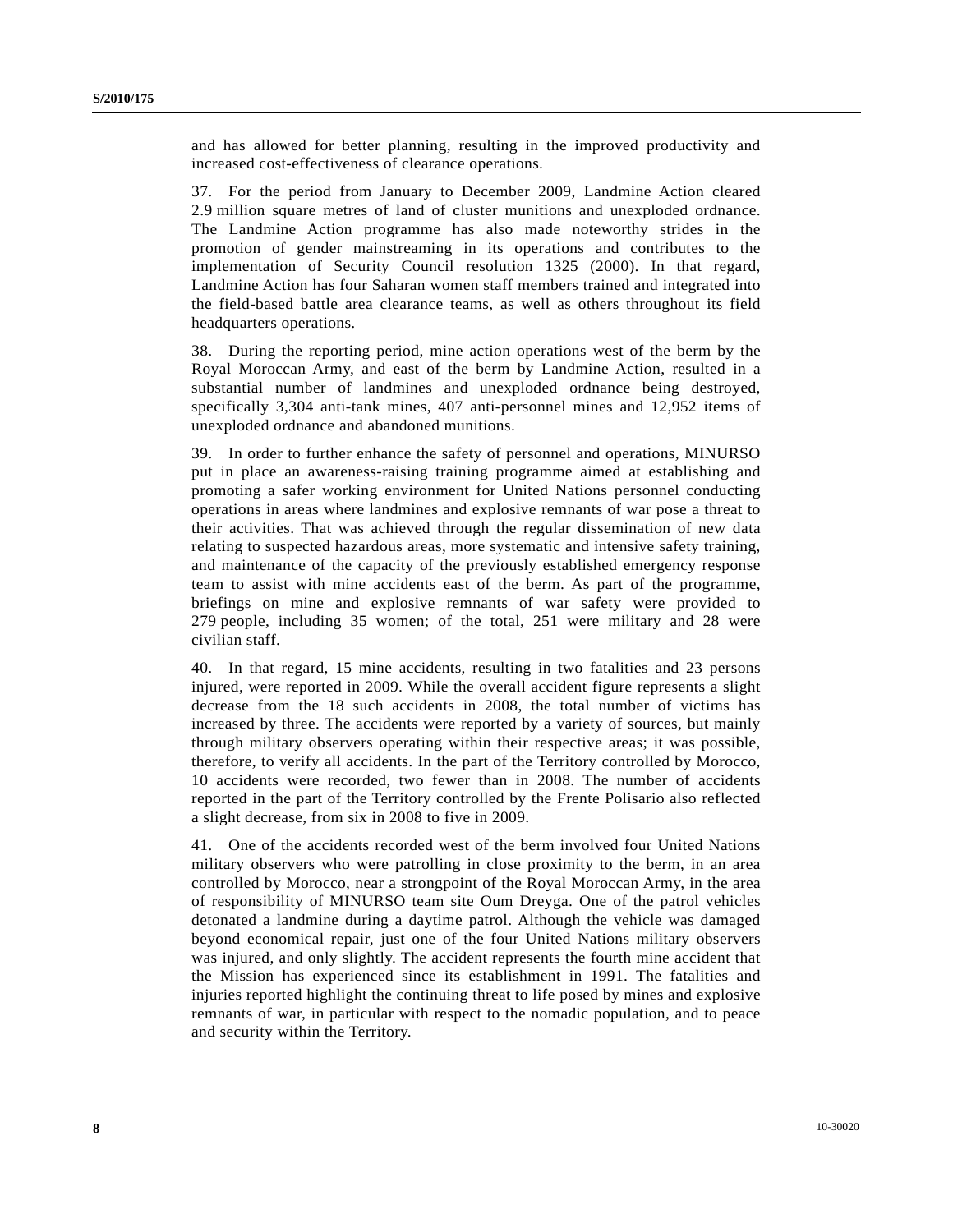and has allowed for better planning, resulting in the improved productivity and increased cost-effectiveness of clearance operations.

37. For the period from January to December 2009, Landmine Action cleared 2.9 million square metres of land of cluster munitions and unexploded ordnance. The Landmine Action programme has also made noteworthy strides in the promotion of gender mainstreaming in its operations and contributes to the implementation of Security Council resolution 1325 (2000). In that regard, Landmine Action has four Saharan women staff members trained and integrated into the field-based battle area clearance teams, as well as others throughout its field headquarters operations.

38. During the reporting period, mine action operations west of the berm by the Royal Moroccan Army, and east of the berm by Landmine Action, resulted in a substantial number of landmines and unexploded ordnance being destroyed, specifically 3,304 anti-tank mines, 407 anti-personnel mines and 12,952 items of unexploded ordnance and abandoned munitions.

39. In order to further enhance the safety of personnel and operations, MINURSO put in place an awareness-raising training programme aimed at establishing and promoting a safer working environment for United Nations personnel conducting operations in areas where landmines and explosive remnants of war pose a threat to their activities. That was achieved through the regular dissemination of new data relating to suspected hazardous areas, more systematic and intensive safety training, and maintenance of the capacity of the previously established emergency response team to assist with mine accidents east of the berm. As part of the programme, briefings on mine and explosive remnants of war safety were provided to 279 people, including 35 women; of the total, 251 were military and 28 were civilian staff.

40. In that regard, 15 mine accidents, resulting in two fatalities and 23 persons injured, were reported in 2009. While the overall accident figure represents a slight decrease from the 18 such accidents in 2008, the total number of victims has increased by three. The accidents were reported by a variety of sources, but mainly through military observers operating within their respective areas; it was possible, therefore, to verify all accidents. In the part of the Territory controlled by Morocco, 10 accidents were recorded, two fewer than in 2008. The number of accidents reported in the part of the Territory controlled by the Frente Polisario also reflected a slight decrease, from six in 2008 to five in 2009.

41. One of the accidents recorded west of the berm involved four United Nations military observers who were patrolling in close proximity to the berm, in an area controlled by Morocco, near a strongpoint of the Royal Moroccan Army, in the area of responsibility of MINURSO team site Oum Dreyga. One of the patrol vehicles detonated a landmine during a daytime patrol. Although the vehicle was damaged beyond economical repair, just one of the four United Nations military observers was injured, and only slightly. The accident represents the fourth mine accident that the Mission has experienced since its establishment in 1991. The fatalities and injuries reported highlight the continuing threat to life posed by mines and explosive remnants of war, in particular with respect to the nomadic population, and to peace and security within the Territory.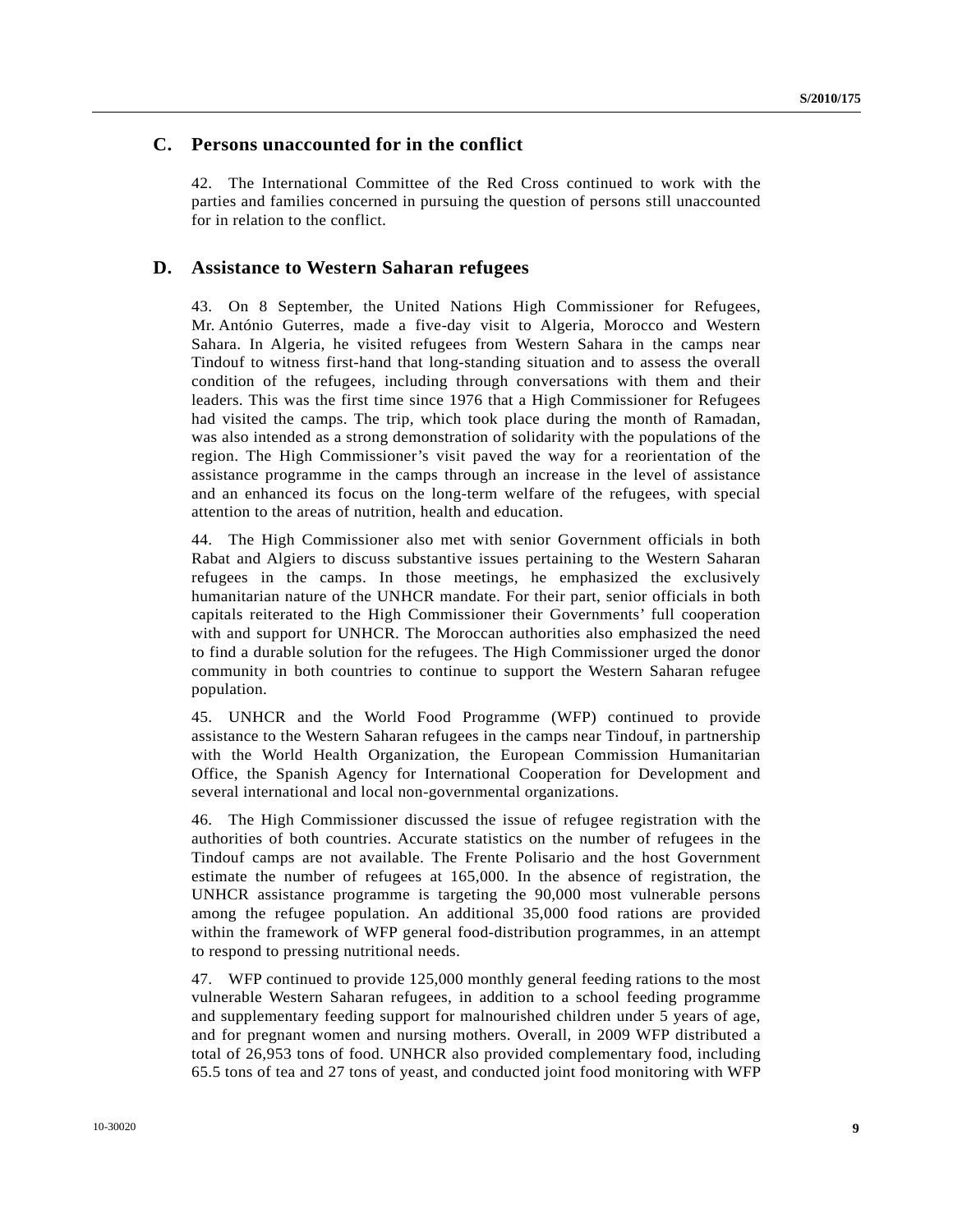### **C. Persons unaccounted for in the conflict**

42. The International Committee of the Red Cross continued to work with the parties and families concerned in pursuing the question of persons still unaccounted for in relation to the conflict.

#### **D. Assistance to Western Saharan refugees**

43. On 8 September, the United Nations High Commissioner for Refugees, Mr. António Guterres, made a five-day visit to Algeria, Morocco and Western Sahara. In Algeria, he visited refugees from Western Sahara in the camps near Tindouf to witness first-hand that long-standing situation and to assess the overall condition of the refugees, including through conversations with them and their leaders. This was the first time since 1976 that a High Commissioner for Refugees had visited the camps. The trip, which took place during the month of Ramadan, was also intended as a strong demonstration of solidarity with the populations of the region. The High Commissioner's visit paved the way for a reorientation of the assistance programme in the camps through an increase in the level of assistance and an enhanced its focus on the long-term welfare of the refugees, with special attention to the areas of nutrition, health and education.

44. The High Commissioner also met with senior Government officials in both Rabat and Algiers to discuss substantive issues pertaining to the Western Saharan refugees in the camps. In those meetings, he emphasized the exclusively humanitarian nature of the UNHCR mandate. For their part, senior officials in both capitals reiterated to the High Commissioner their Governments' full cooperation with and support for UNHCR. The Moroccan authorities also emphasized the need to find a durable solution for the refugees. The High Commissioner urged the donor community in both countries to continue to support the Western Saharan refugee population.

45. UNHCR and the World Food Programme (WFP) continued to provide assistance to the Western Saharan refugees in the camps near Tindouf, in partnership with the World Health Organization, the European Commission Humanitarian Office, the Spanish Agency for International Cooperation for Development and several international and local non-governmental organizations.

46. The High Commissioner discussed the issue of refugee registration with the authorities of both countries. Accurate statistics on the number of refugees in the Tindouf camps are not available. The Frente Polisario and the host Government estimate the number of refugees at 165,000. In the absence of registration, the UNHCR assistance programme is targeting the 90,000 most vulnerable persons among the refugee population. An additional 35,000 food rations are provided within the framework of WFP general food-distribution programmes, in an attempt to respond to pressing nutritional needs.

47. WFP continued to provide 125,000 monthly general feeding rations to the most vulnerable Western Saharan refugees, in addition to a school feeding programme and supplementary feeding support for malnourished children under 5 years of age, and for pregnant women and nursing mothers. Overall, in 2009 WFP distributed a total of 26,953 tons of food. UNHCR also provided complementary food, including 65.5 tons of tea and 27 tons of yeast, and conducted joint food monitoring with WFP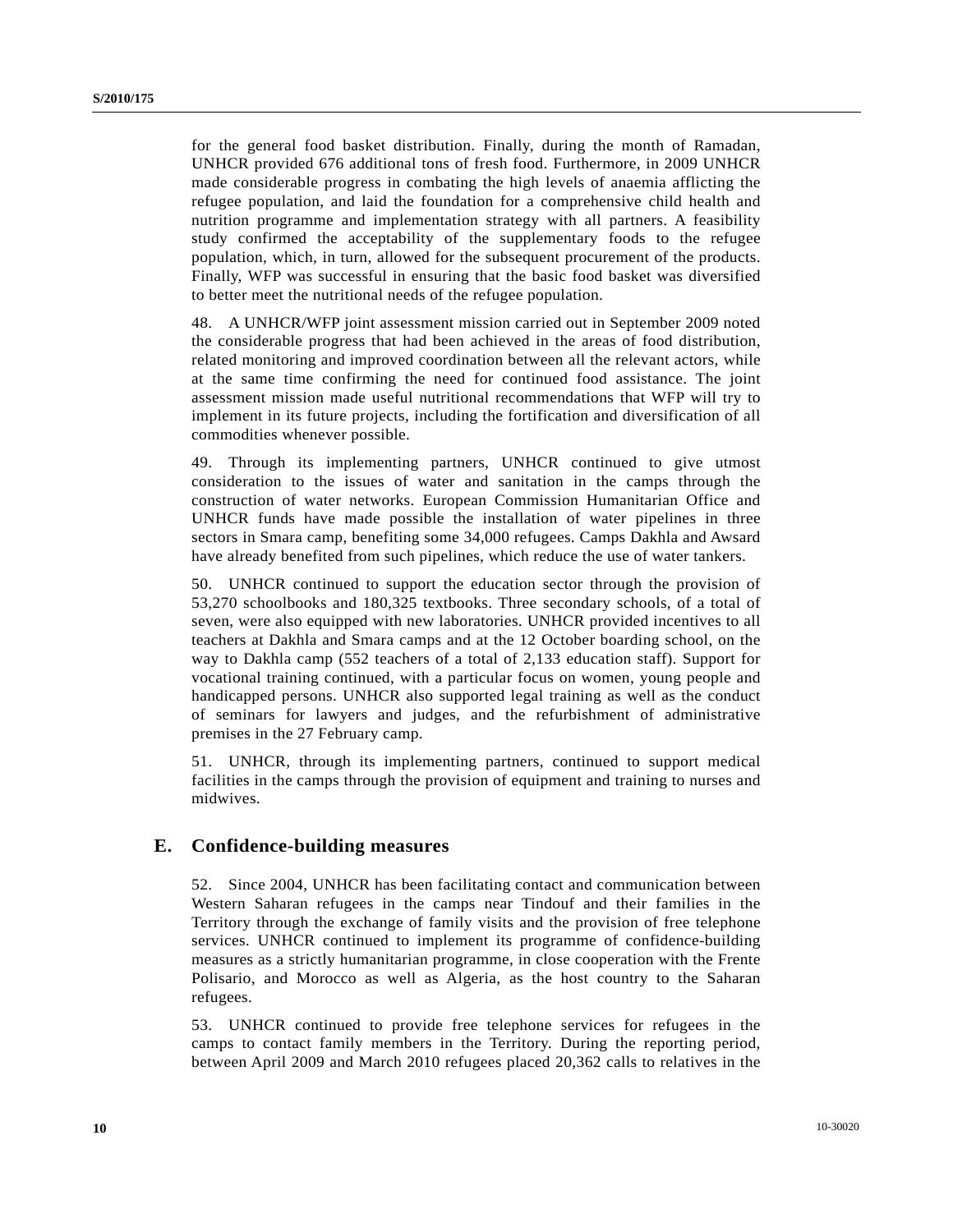for the general food basket distribution. Finally, during the month of Ramadan, UNHCR provided 676 additional tons of fresh food. Furthermore, in 2009 UNHCR made considerable progress in combating the high levels of anaemia afflicting the refugee population, and laid the foundation for a comprehensive child health and nutrition programme and implementation strategy with all partners. A feasibility study confirmed the acceptability of the supplementary foods to the refugee population, which, in turn, allowed for the subsequent procurement of the products. Finally, WFP was successful in ensuring that the basic food basket was diversified to better meet the nutritional needs of the refugee population.

48. A UNHCR/WFP joint assessment mission carried out in September 2009 noted the considerable progress that had been achieved in the areas of food distribution, related monitoring and improved coordination between all the relevant actors, while at the same time confirming the need for continued food assistance. The joint assessment mission made useful nutritional recommendations that WFP will try to implement in its future projects, including the fortification and diversification of all commodities whenever possible.

49. Through its implementing partners, UNHCR continued to give utmost consideration to the issues of water and sanitation in the camps through the construction of water networks. European Commission Humanitarian Office and UNHCR funds have made possible the installation of water pipelines in three sectors in Smara camp, benefiting some 34,000 refugees. Camps Dakhla and Awsard have already benefited from such pipelines, which reduce the use of water tankers.

50. UNHCR continued to support the education sector through the provision of 53,270 schoolbooks and 180,325 textbooks. Three secondary schools, of a total of seven, were also equipped with new laboratories. UNHCR provided incentives to all teachers at Dakhla and Smara camps and at the 12 October boarding school, on the way to Dakhla camp (552 teachers of a total of 2,133 education staff). Support for vocational training continued, with a particular focus on women, young people and handicapped persons. UNHCR also supported legal training as well as the conduct of seminars for lawyers and judges, and the refurbishment of administrative premises in the 27 February camp.

51. UNHCR, through its implementing partners, continued to support medical facilities in the camps through the provision of equipment and training to nurses and midwives.

### **E. Confidence-building measures**

52. Since 2004, UNHCR has been facilitating contact and communication between Western Saharan refugees in the camps near Tindouf and their families in the Territory through the exchange of family visits and the provision of free telephone services. UNHCR continued to implement its programme of confidence-building measures as a strictly humanitarian programme, in close cooperation with the Frente Polisario, and Morocco as well as Algeria, as the host country to the Saharan refugees.

53. UNHCR continued to provide free telephone services for refugees in the camps to contact family members in the Territory. During the reporting period, between April 2009 and March 2010 refugees placed 20,362 calls to relatives in the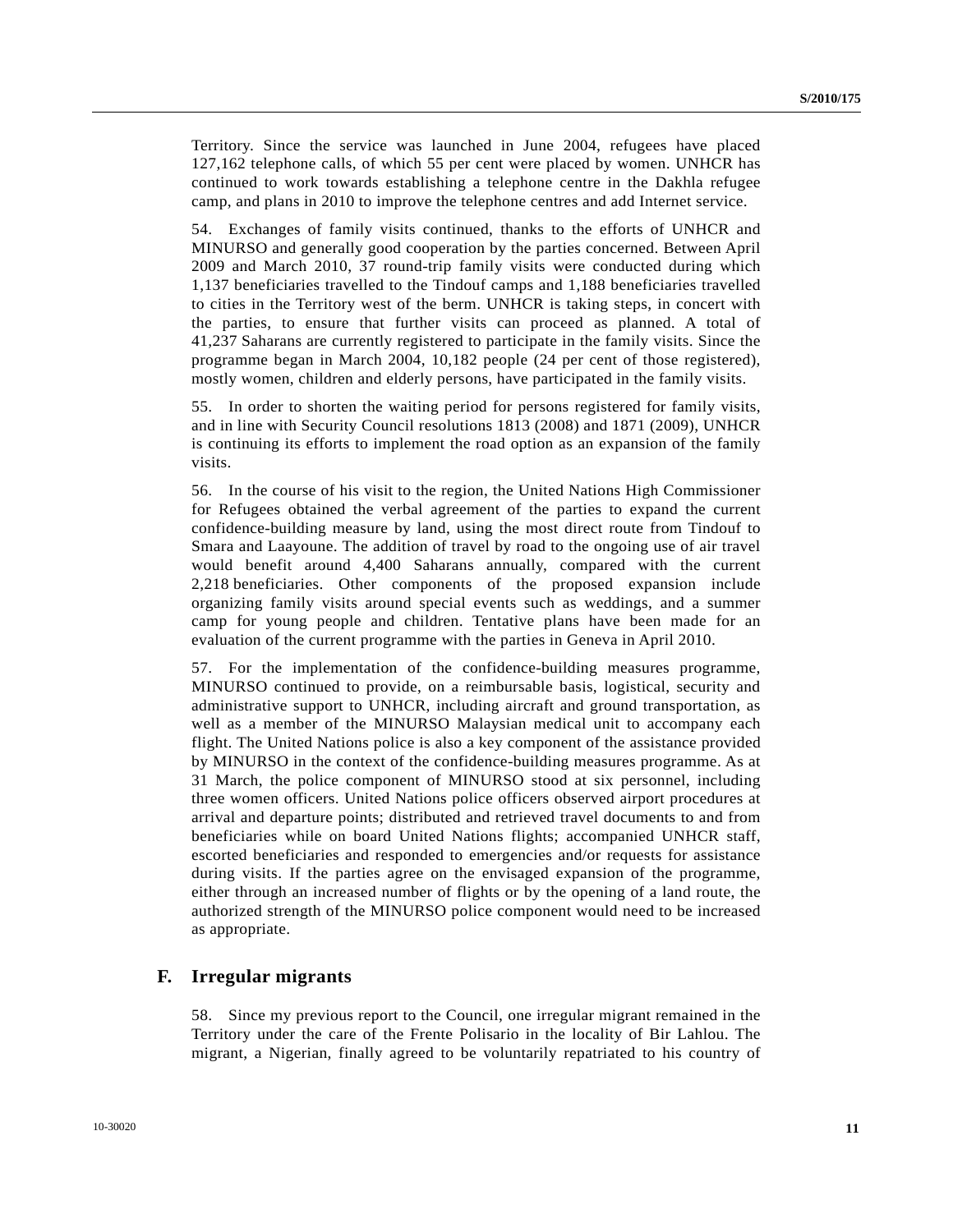Territory. Since the service was launched in June 2004, refugees have placed 127,162 telephone calls, of which 55 per cent were placed by women. UNHCR has continued to work towards establishing a telephone centre in the Dakhla refugee camp, and plans in 2010 to improve the telephone centres and add Internet service.

54. Exchanges of family visits continued, thanks to the efforts of UNHCR and MINURSO and generally good cooperation by the parties concerned. Between April 2009 and March 2010, 37 round-trip family visits were conducted during which 1,137 beneficiaries travelled to the Tindouf camps and 1,188 beneficiaries travelled to cities in the Territory west of the berm. UNHCR is taking steps, in concert with the parties, to ensure that further visits can proceed as planned. A total of 41,237 Saharans are currently registered to participate in the family visits. Since the programme began in March 2004, 10,182 people (24 per cent of those registered), mostly women, children and elderly persons, have participated in the family visits.

55. In order to shorten the waiting period for persons registered for family visits, and in line with Security Council resolutions 1813 (2008) and 1871 (2009), UNHCR is continuing its efforts to implement the road option as an expansion of the family visits.

56. In the course of his visit to the region, the United Nations High Commissioner for Refugees obtained the verbal agreement of the parties to expand the current confidence-building measure by land, using the most direct route from Tindouf to Smara and Laayoune. The addition of travel by road to the ongoing use of air travel would benefit around 4,400 Saharans annually, compared with the current 2,218 beneficiaries. Other components of the proposed expansion include organizing family visits around special events such as weddings, and a summer camp for young people and children. Tentative plans have been made for an evaluation of the current programme with the parties in Geneva in April 2010.

57. For the implementation of the confidence-building measures programme, MINURSO continued to provide, on a reimbursable basis, logistical, security and administrative support to UNHCR, including aircraft and ground transportation, as well as a member of the MINURSO Malaysian medical unit to accompany each flight. The United Nations police is also a key component of the assistance provided by MINURSO in the context of the confidence-building measures programme. As at 31 March, the police component of MINURSO stood at six personnel, including three women officers. United Nations police officers observed airport procedures at arrival and departure points; distributed and retrieved travel documents to and from beneficiaries while on board United Nations flights; accompanied UNHCR staff, escorted beneficiaries and responded to emergencies and/or requests for assistance during visits. If the parties agree on the envisaged expansion of the programme, either through an increased number of flights or by the opening of a land route, the authorized strength of the MINURSO police component would need to be increased as appropriate.

#### **F. Irregular migrants**

58. Since my previous report to the Council, one irregular migrant remained in the Territory under the care of the Frente Polisario in the locality of Bir Lahlou. The migrant, a Nigerian, finally agreed to be voluntarily repatriated to his country of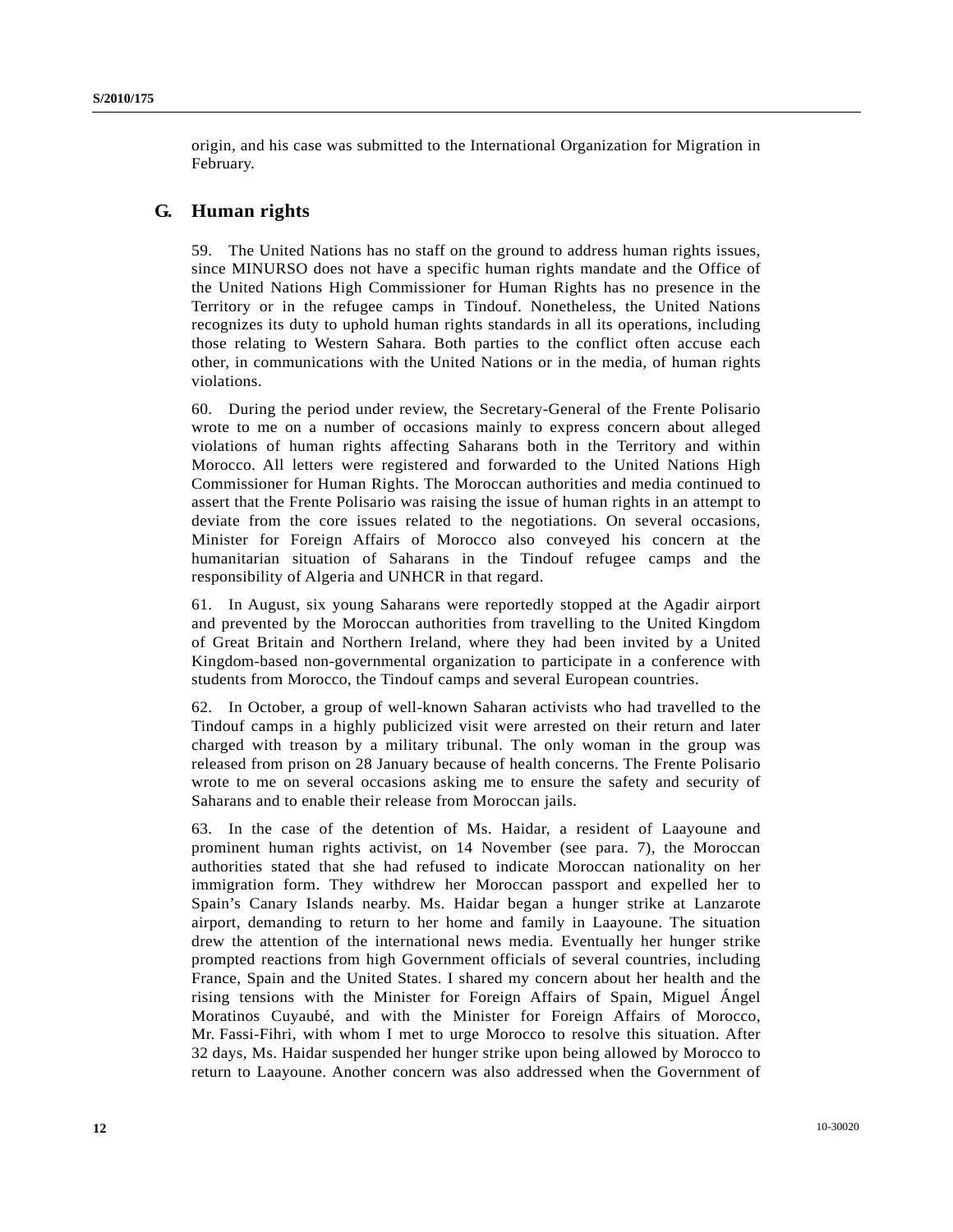origin, and his case was submitted to the International Organization for Migration in February.

### **G. Human rights**

59. The United Nations has no staff on the ground to address human rights issues, since MINURSO does not have a specific human rights mandate and the Office of the United Nations High Commissioner for Human Rights has no presence in the Territory or in the refugee camps in Tindouf. Nonetheless, the United Nations recognizes its duty to uphold human rights standards in all its operations, including those relating to Western Sahara. Both parties to the conflict often accuse each other, in communications with the United Nations or in the media, of human rights violations.

60. During the period under review, the Secretary-General of the Frente Polisario wrote to me on a number of occasions mainly to express concern about alleged violations of human rights affecting Saharans both in the Territory and within Morocco. All letters were registered and forwarded to the United Nations High Commissioner for Human Rights. The Moroccan authorities and media continued to assert that the Frente Polisario was raising the issue of human rights in an attempt to deviate from the core issues related to the negotiations. On several occasions, Minister for Foreign Affairs of Morocco also conveyed his concern at the humanitarian situation of Saharans in the Tindouf refugee camps and the responsibility of Algeria and UNHCR in that regard.

61. In August, six young Saharans were reportedly stopped at the Agadir airport and prevented by the Moroccan authorities from travelling to the United Kingdom of Great Britain and Northern Ireland, where they had been invited by a United Kingdom-based non-governmental organization to participate in a conference with students from Morocco, the Tindouf camps and several European countries.

62. In October, a group of well-known Saharan activists who had travelled to the Tindouf camps in a highly publicized visit were arrested on their return and later charged with treason by a military tribunal. The only woman in the group was released from prison on 28 January because of health concerns. The Frente Polisario wrote to me on several occasions asking me to ensure the safety and security of Saharans and to enable their release from Moroccan jails.

63. In the case of the detention of Ms. Haidar, a resident of Laayoune and prominent human rights activist, on 14 November (see para. 7), the Moroccan authorities stated that she had refused to indicate Moroccan nationality on her immigration form. They withdrew her Moroccan passport and expelled her to Spain's Canary Islands nearby. Ms. Haidar began a hunger strike at Lanzarote airport, demanding to return to her home and family in Laayoune. The situation drew the attention of the international news media. Eventually her hunger strike prompted reactions from high Government officials of several countries, including France, Spain and the United States. I shared my concern about her health and the rising tensions with the Minister for Foreign Affairs of Spain, Miguel Ángel Moratinos Cuyaubé, and with the Minister for Foreign Affairs of Morocco, Mr. Fassi-Fihri, with whom I met to urge Morocco to resolve this situation. After 32 days, Ms. Haidar suspended her hunger strike upon being allowed by Morocco to return to Laayoune. Another concern was also addressed when the Government of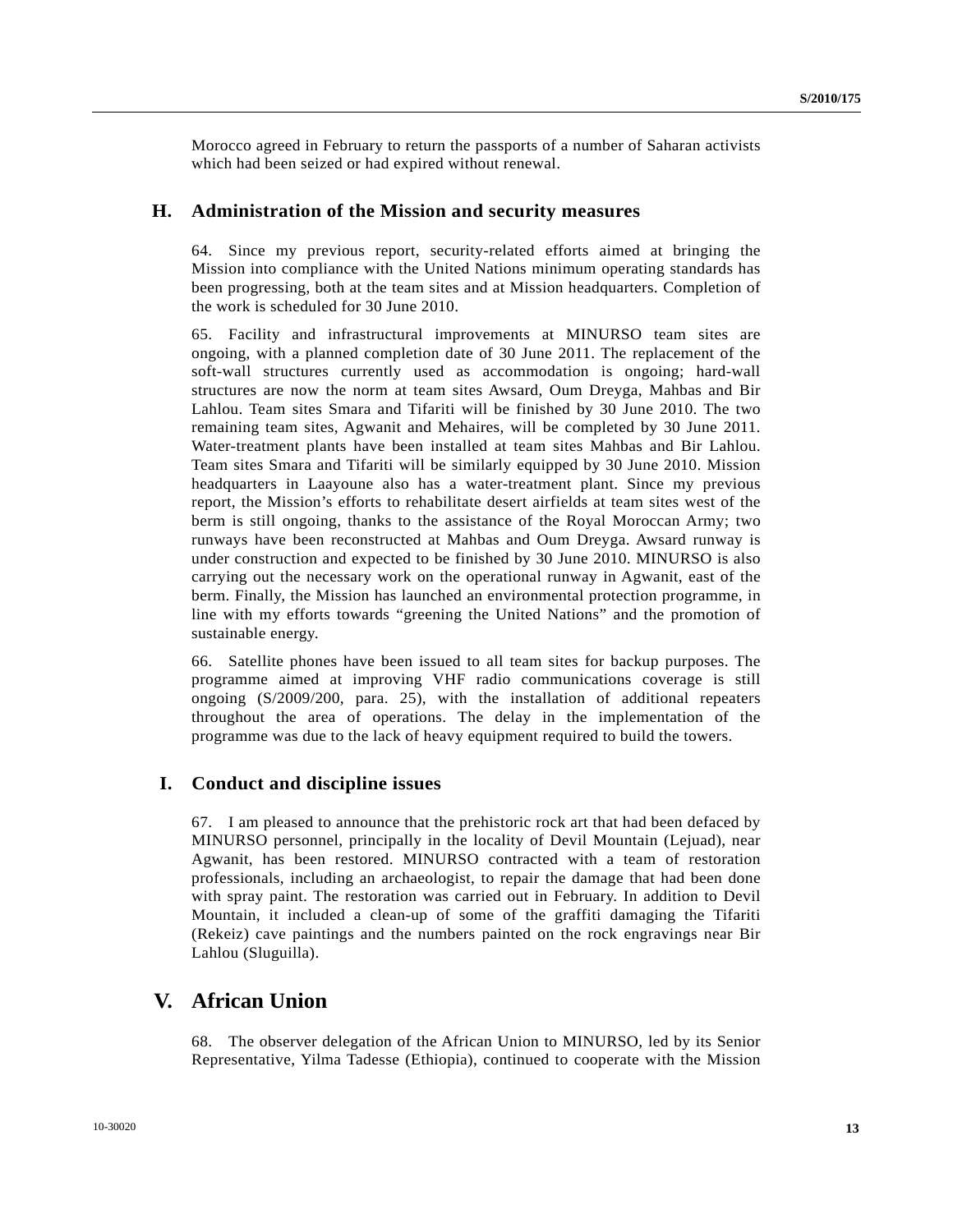Morocco agreed in February to return the passports of a number of Saharan activists which had been seized or had expired without renewal.

#### **H. Administration of the Mission and security measures**

64. Since my previous report, security-related efforts aimed at bringing the Mission into compliance with the United Nations minimum operating standards has been progressing, both at the team sites and at Mission headquarters. Completion of the work is scheduled for 30 June 2010.

65. Facility and infrastructural improvements at MINURSO team sites are ongoing, with a planned completion date of 30 June 2011. The replacement of the soft-wall structures currently used as accommodation is ongoing; hard-wall structures are now the norm at team sites Awsard, Oum Dreyga, Mahbas and Bir Lahlou. Team sites Smara and Tifariti will be finished by 30 June 2010. The two remaining team sites, Agwanit and Mehaires, will be completed by 30 June 2011. Water-treatment plants have been installed at team sites Mahbas and Bir Lahlou. Team sites Smara and Tifariti will be similarly equipped by 30 June 2010. Mission headquarters in Laayoune also has a water-treatment plant. Since my previous report, the Mission's efforts to rehabilitate desert airfields at team sites west of the berm is still ongoing, thanks to the assistance of the Royal Moroccan Army; two runways have been reconstructed at Mahbas and Oum Dreyga. Awsard runway is under construction and expected to be finished by 30 June 2010. MINURSO is also carrying out the necessary work on the operational runway in Agwanit, east of the berm. Finally, the Mission has launched an environmental protection programme, in line with my efforts towards "greening the United Nations" and the promotion of sustainable energy.

66. Satellite phones have been issued to all team sites for backup purposes. The programme aimed at improving VHF radio communications coverage is still ongoing (S/2009/200, para. 25), with the installation of additional repeaters throughout the area of operations. The delay in the implementation of the programme was due to the lack of heavy equipment required to build the towers.

#### **I. Conduct and discipline issues**

67. I am pleased to announce that the prehistoric rock art that had been defaced by MINURSO personnel, principally in the locality of Devil Mountain (Lejuad), near Agwanit, has been restored. MINURSO contracted with a team of restoration professionals, including an archaeologist, to repair the damage that had been done with spray paint. The restoration was carried out in February. In addition to Devil Mountain, it included a clean-up of some of the graffiti damaging the Tifariti (Rekeiz) cave paintings and the numbers painted on the rock engravings near Bir Lahlou (Sluguilla).

## **V. African Union**

68. The observer delegation of the African Union to MINURSO, led by its Senior Representative, Yilma Tadesse (Ethiopia), continued to cooperate with the Mission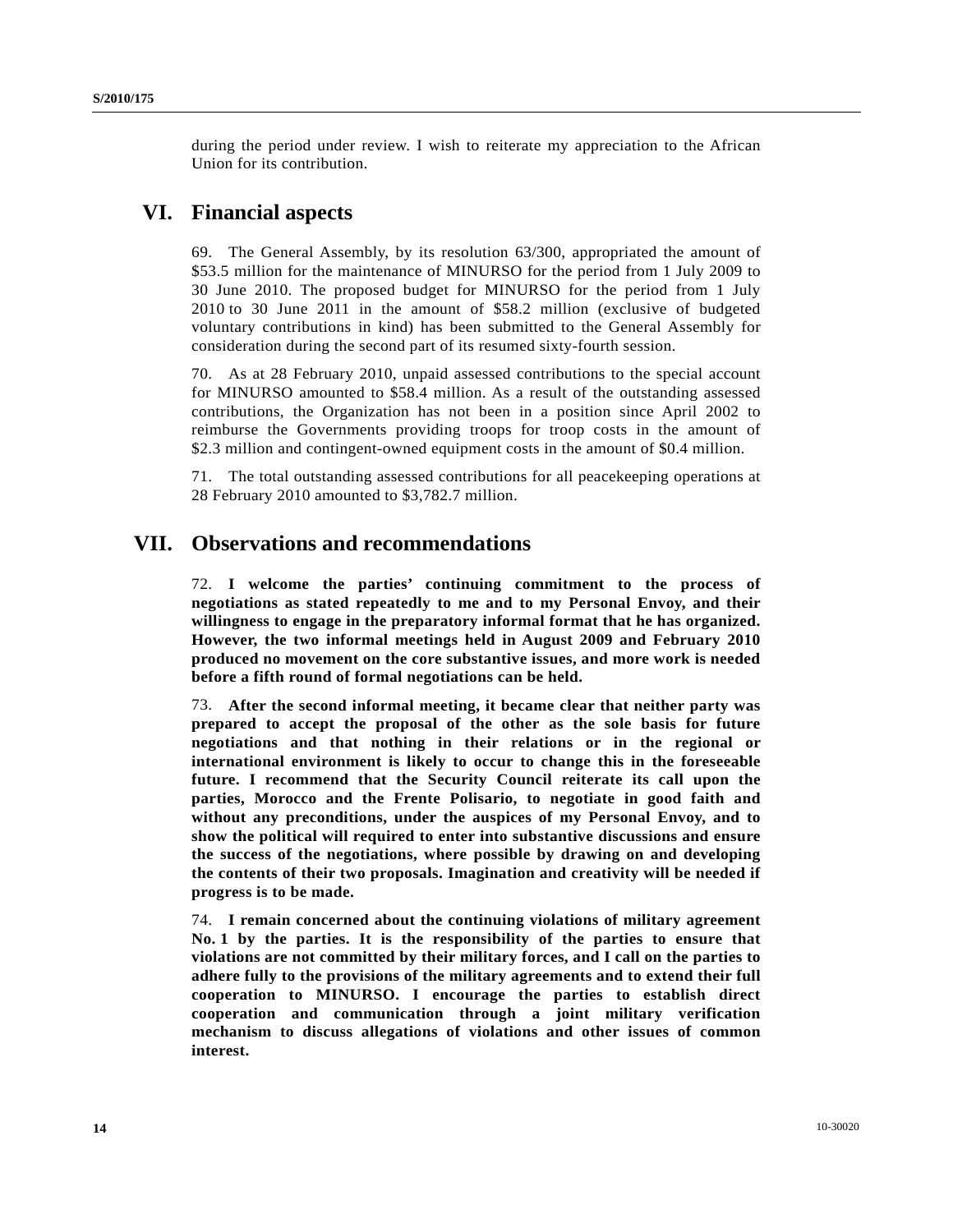during the period under review. I wish to reiterate my appreciation to the African Union for its contribution.

## **VI. Financial aspects**

69. The General Assembly, by its resolution 63/300, appropriated the amount of \$53.5 million for the maintenance of MINURSO for the period from 1 July 2009 to 30 June 2010. The proposed budget for MINURSO for the period from 1 July 2010 to 30 June 2011 in the amount of \$58.2 million (exclusive of budgeted voluntary contributions in kind) has been submitted to the General Assembly for consideration during the second part of its resumed sixty-fourth session.

70. As at 28 February 2010, unpaid assessed contributions to the special account for MINURSO amounted to \$58.4 million. As a result of the outstanding assessed contributions, the Organization has not been in a position since April 2002 to reimburse the Governments providing troops for troop costs in the amount of \$2.3 million and contingent-owned equipment costs in the amount of \$0.4 million.

71. The total outstanding assessed contributions for all peacekeeping operations at 28 February 2010 amounted to \$3,782.7 million.

## **VII. Observations and recommendations**

72. **I welcome the parties' continuing commitment to the process of negotiations as stated repeatedly to me and to my Personal Envoy, and their willingness to engage in the preparatory informal format that he has organized. However, the two informal meetings held in August 2009 and February 2010 produced no movement on the core substantive issues, and more work is needed before a fifth round of formal negotiations can be held.**

73. **After the second informal meeting, it became clear that neither party was prepared to accept the proposal of the other as the sole basis for future negotiations and that nothing in their relations or in the regional or international environment is likely to occur to change this in the foreseeable future. I recommend that the Security Council reiterate its call upon the parties, Morocco and the Frente Polisario, to negotiate in good faith and without any preconditions, under the auspices of my Personal Envoy, and to show the political will required to enter into substantive discussions and ensure the success of the negotiations, where possible by drawing on and developing the contents of their two proposals. Imagination and creativity will be needed if progress is to be made.**

74. **I remain concerned about the continuing violations of military agreement No. 1 by the parties. It is the responsibility of the parties to ensure that violations are not committed by their military forces, and I call on the parties to adhere fully to the provisions of the military agreements and to extend their full cooperation to MINURSO. I encourage the parties to establish direct cooperation and communication through a joint military verification mechanism to discuss allegations of violations and other issues of common interest.**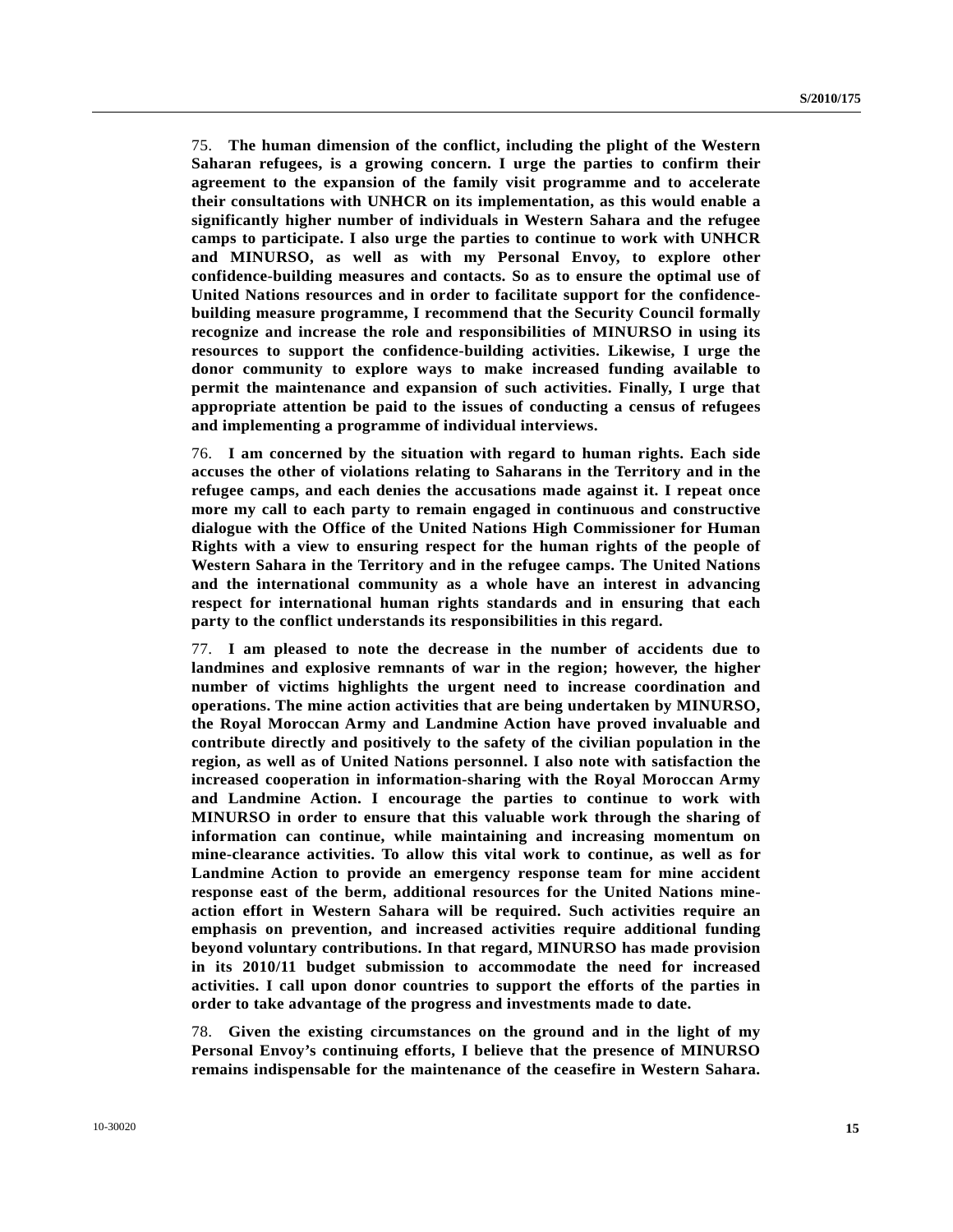75. **The human dimension of the conflict, including the plight of the Western Saharan refugees, is a growing concern. I urge the parties to confirm their agreement to the expansion of the family visit programme and to accelerate their consultations with UNHCR on its implementation, as this would enable a significantly higher number of individuals in Western Sahara and the refugee camps to participate. I also urge the parties to continue to work with UNHCR and MINURSO, as well as with my Personal Envoy, to explore other confidence-building measures and contacts. So as to ensure the optimal use of United Nations resources and in order to facilitate support for the confidencebuilding measure programme, I recommend that the Security Council formally recognize and increase the role and responsibilities of MINURSO in using its resources to support the confidence-building activities. Likewise, I urge the donor community to explore ways to make increased funding available to permit the maintenance and expansion of such activities. Finally, I urge that appropriate attention be paid to the issues of conducting a census of refugees and implementing a programme of individual interviews.**

76. **I am concerned by the situation with regard to human rights. Each side accuses the other of violations relating to Saharans in the Territory and in the refugee camps, and each denies the accusations made against it. I repeat once more my call to each party to remain engaged in continuous and constructive dialogue with the Office of the United Nations High Commissioner for Human Rights with a view to ensuring respect for the human rights of the people of Western Sahara in the Territory and in the refugee camps. The United Nations and the international community as a whole have an interest in advancing respect for international human rights standards and in ensuring that each party to the conflict understands its responsibilities in this regard.**

77. **I am pleased to note the decrease in the number of accidents due to landmines and explosive remnants of war in the region; however, the higher number of victims highlights the urgent need to increase coordination and operations. The mine action activities that are being undertaken by MINURSO, the Royal Moroccan Army and Landmine Action have proved invaluable and contribute directly and positively to the safety of the civilian population in the region, as well as of United Nations personnel. I also note with satisfaction the increased cooperation in information-sharing with the Royal Moroccan Army and Landmine Action. I encourage the parties to continue to work with MINURSO in order to ensure that this valuable work through the sharing of information can continue, while maintaining and increasing momentum on mine-clearance activities. To allow this vital work to continue, as well as for Landmine Action to provide an emergency response team for mine accident response east of the berm, additional resources for the United Nations mineaction effort in Western Sahara will be required. Such activities require an emphasis on prevention, and increased activities require additional funding beyond voluntary contributions. In that regard, MINURSO has made provision in its 2010/11 budget submission to accommodate the need for increased activities. I call upon donor countries to support the efforts of the parties in order to take advantage of the progress and investments made to date.**

78. **Given the existing circumstances on the ground and in the light of my Personal Envoy's continuing efforts, I believe that the presence of MINURSO remains indispensable for the maintenance of the ceasefire in Western Sahara.**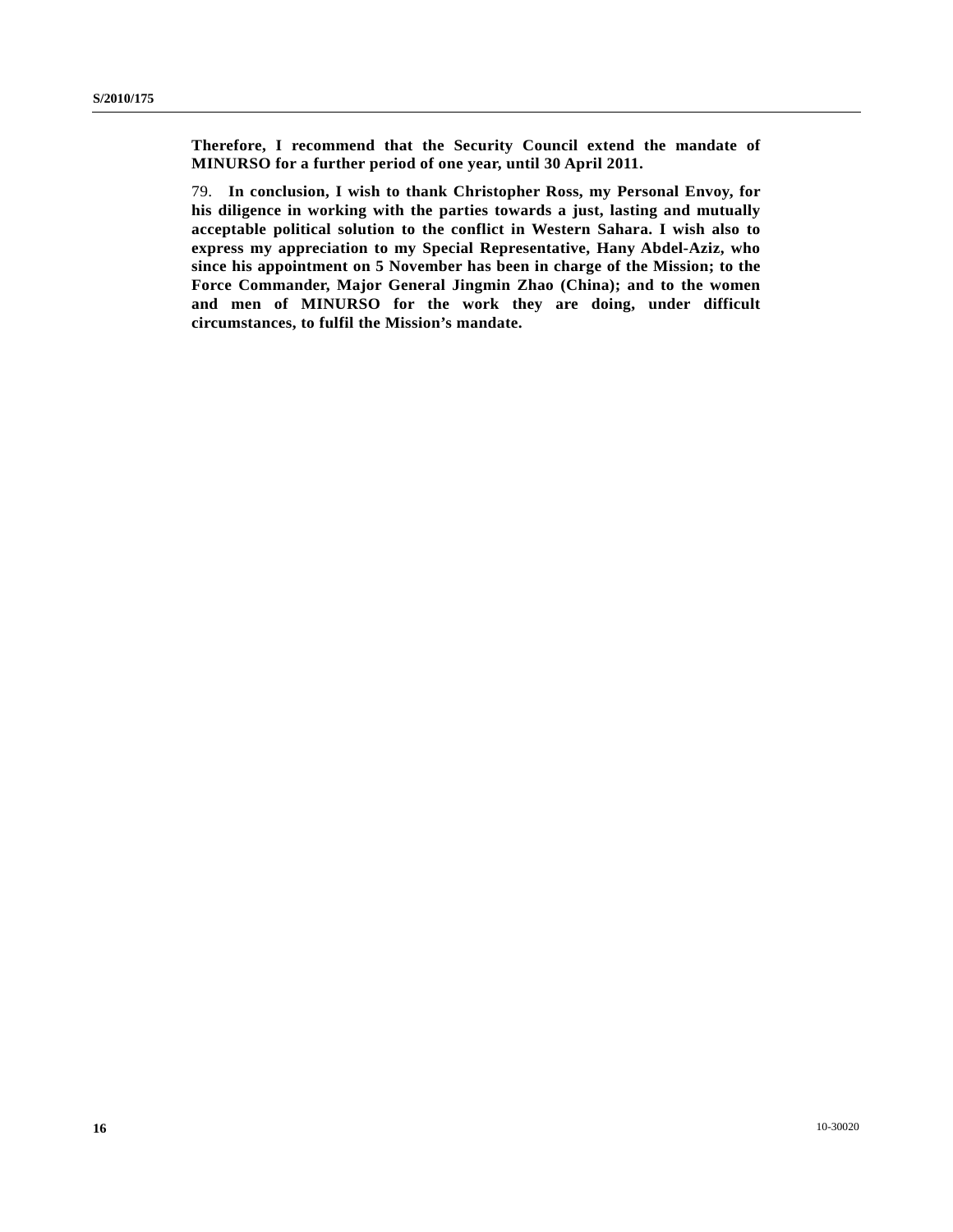**Therefore, I recommend that the Security Council extend the mandate of MINURSO for a further period of one year, until 30 April 2011.**

79. **In conclusion, I wish to thank Christopher Ross, my Personal Envoy, for his diligence in working with the parties towards a just, lasting and mutually acceptable political solution to the conflict in Western Sahara. I wish also to express my appreciation to my Special Representative, Hany Abdel-Aziz, who since his appointment on 5 November has been in charge of the Mission; to the Force Commander, Major General Jingmin Zhao (China); and to the women and men of MINURSO for the work they are doing, under difficult circumstances, to fulfil the Mission's mandate.**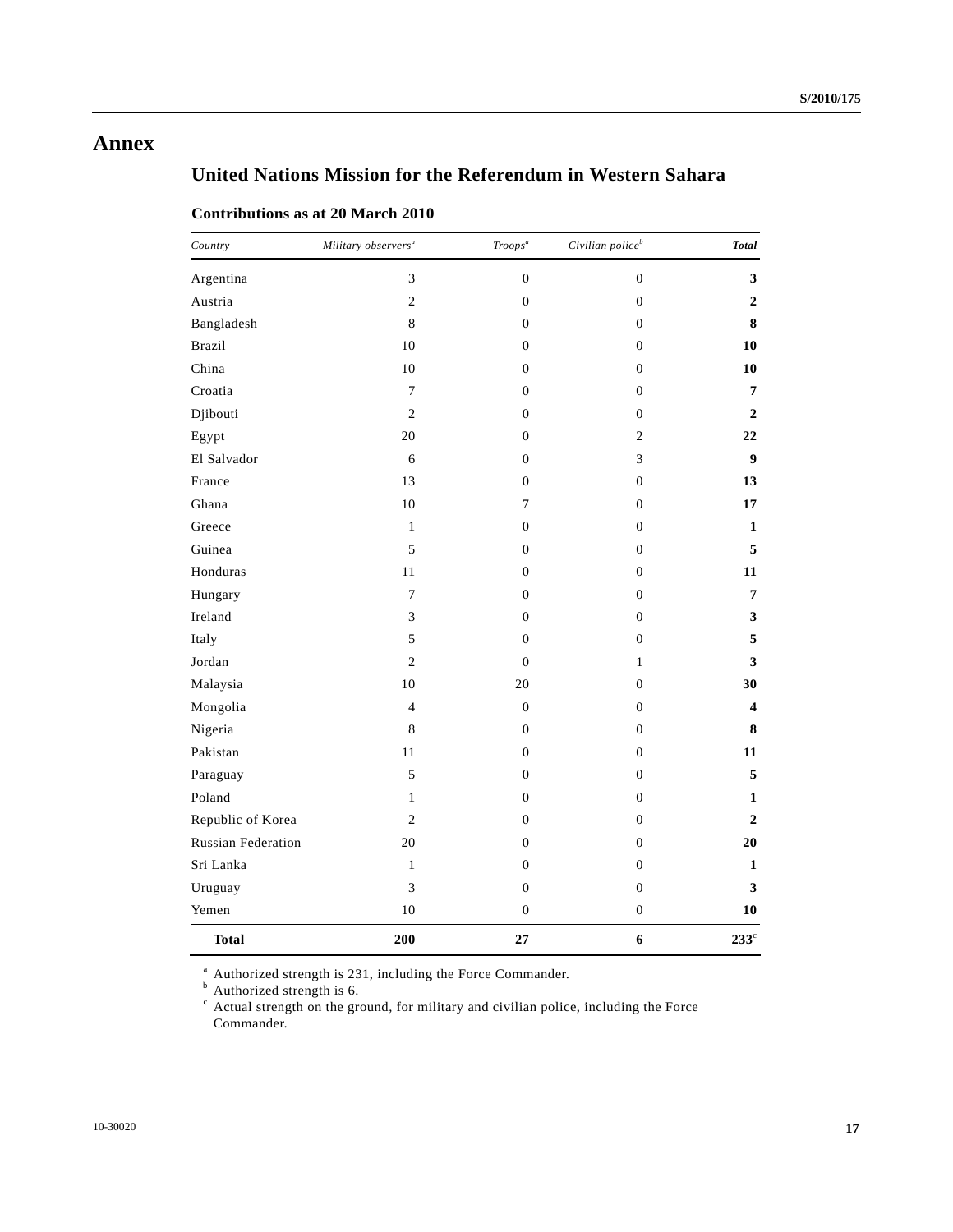## **Annex**

# **United Nations Mission for the Referendum in Western Sahara**

### **Contributions as at 20 March 2010**

| Country                   | Military observers <sup>a</sup> | Troops <sup>a</sup> | Civilian police <sup>b</sup> | <b>Total</b>            |
|---------------------------|---------------------------------|---------------------|------------------------------|-------------------------|
| Argentina                 | 3                               | $\mathbf{0}$        | $\boldsymbol{0}$             | 3                       |
| Austria                   | $\overline{c}$                  | $\boldsymbol{0}$    | $\boldsymbol{0}$             | $\mathbf{2}$            |
| Bangladesh                | $\,8\,$                         | $\boldsymbol{0}$    | $\boldsymbol{0}$             | 8                       |
| <b>Brazil</b>             | 10                              | $\boldsymbol{0}$    | $\boldsymbol{0}$             | 10                      |
| China                     | 10                              | $\boldsymbol{0}$    | $\boldsymbol{0}$             | 10                      |
| Croatia                   | $\tau$                          | $\boldsymbol{0}$    | $\boldsymbol{0}$             | 7                       |
| Djibouti                  | $\overline{2}$                  | $\theta$            | $\overline{0}$               | 2                       |
| Egypt                     | 20                              | $\boldsymbol{0}$    | $\mathfrak{2}$               | 22                      |
| El Salvador               | 6                               | $\boldsymbol{0}$    | 3                            | 9                       |
| France                    | 13                              | $\mathbf{0}$        | $\boldsymbol{0}$             | 13                      |
| Ghana                     | 10                              | 7                   | $\boldsymbol{0}$             | 17                      |
| Greece                    | $\mathbf{1}$                    | $\theta$            | $\boldsymbol{0}$             | 1                       |
| Guinea                    | 5                               | $\mathbf{0}$        | $\overline{0}$               | 5                       |
| Honduras                  | 11                              | $\boldsymbol{0}$    | $\boldsymbol{0}$             | 11                      |
| Hungary                   | 7                               | $\mathbf{0}$        | $\boldsymbol{0}$             | 7                       |
| Ireland                   | 3                               | $\mathbf{0}$        | $\boldsymbol{0}$             | $\mathbf{3}$            |
| Italy                     | 5                               | $\boldsymbol{0}$    | $\boldsymbol{0}$             | 5                       |
| Jordan                    | $\overline{2}$                  | $\mathbf{0}$        | $\mathbf{1}$                 | 3                       |
| Malaysia                  | 10                              | 20                  | $\boldsymbol{0}$             | 30                      |
| Mongolia                  | $\overline{4}$                  | $\boldsymbol{0}$    | $\boldsymbol{0}$             | $\overline{\mathbf{4}}$ |
| Nigeria                   | $\,$ 8 $\,$                     | $\boldsymbol{0}$    | $\boldsymbol{0}$             | 8                       |
| Pakistan                  | 11                              | $\boldsymbol{0}$    | $\boldsymbol{0}$             | 11                      |
| Paraguay                  | 5                               | $\mathbf{0}$        | $\boldsymbol{0}$             | 5                       |
| Poland                    | $\mathbf{1}$                    | $\boldsymbol{0}$    | $\boldsymbol{0}$             | $\mathbf{1}$            |
| Republic of Korea         | $\overline{c}$                  | $\boldsymbol{0}$    | $\boldsymbol{0}$             | $\boldsymbol{2}$        |
| <b>Russian Federation</b> | 20                              | $\mathbf{0}$        | $\boldsymbol{0}$             | 20                      |
| Sri Lanka                 | $\,1\,$                         | $\boldsymbol{0}$    | $\boldsymbol{0}$             | 1                       |
| Uruguay                   | 3                               | $\boldsymbol{0}$    | $\boldsymbol{0}$             | 3                       |
| Yemen                     | 10                              | $\boldsymbol{0}$    | $\boldsymbol{0}$             | 10                      |
| <b>Total</b>              | 200                             | 27                  | 6                            | $233^{\circ}$           |

<sup>a</sup> Authorized strength is 231, including the Force Commander.<br><sup>b</sup> Authorized strength is 6.

<sup>c</sup> Actual strength on the ground, for military and civilian police, including the Force Commander.